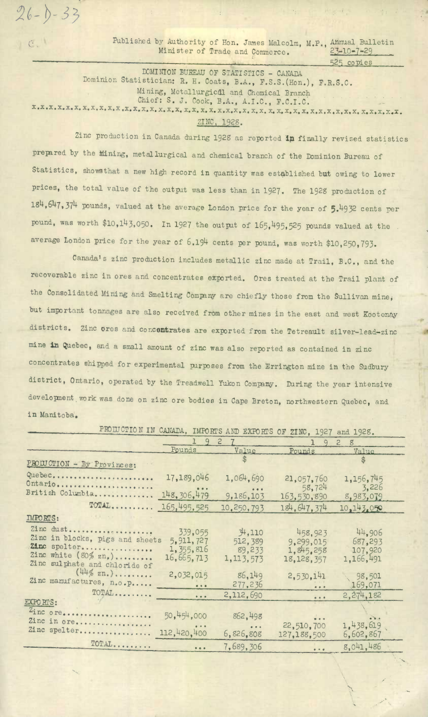Published by Authority of Hon. James Malcolm, M.P., Annual Bulletin Minister of Trade and Commerce.  $\frac{23-10-7-29}{23}$ Minister of Trade and Commerce.

525 copies

F

 $\mathcal{L}^{\mathcal{A}}$ 

DOMINION BUREAU OF STATISTICS - CANADA Dominion Statistician: R. H. Coats, B.A., F.S.S.(Hon,), P.LS.C. Mining, Metallurgical and Chemical Branch Chief: S. J. Cook, B.A., A.I.C., F.C.I.C. **x.x.x.x.x.x.x.x.x.x.x.x.x1.x.x.x.x . x,x. x.x.x.x.x.x.x.x.x.x4x.x.x.xIx.x.x,x.x.x.x.x.x.x.x.** 

 $26 - 0 - 33$ 

 $C.$ 

5'

ZINC, 1928.

Zinc production in Canada during 1928 as reported in finally revised statistics prepared by the Mining, metallurgical and chemical branch of the Dominion Bureau of Statistics, showathat a new high record in quantity was established but owing to lower prices, the total value of the output was less than in 1927. The 1928 production of 184,6147,374 pounds, valued at the average London price for the year of 5)4932 cents per pound, was worth \$10,143,050. In 1927 the outpit of *165,495,525* pounis valued at the average London price for the year of 6.194 cents per pound, was worth \$10,250,793.

Canada's zinc production includes metallic zinc made at Trail, B.C., and the recoverable zinc in ores and Concentrates exported, Ores treated at the Trail plant of the Consolidated Mining and Smelting Company are chiefly those from the Sullivan mine, but important tonnages are also received from other mines in the east and west Kootenay districts. Zinc ores and concentrates are exported from the Tetreault silver-lead-zinc mine in Quebec, and a small amount of zinc was also reported as contained in zinc concentrates shipped for experimental purposes from the Errington mine in the Sudbury district, Ontario, operated by the Treadwell Yukon Company. During the year intensive development work was done on zinc ore bodies in Cape Breton, northwestern Quebec, and in Manitoba.

PROIUCTION IN CANADA, IMPORTS AND EXPORTS OF ZINC, 1927 and 1928.

|                                                                                                                                   | $-1$ $-1$ $-1$                                      |                                             |                                                                                 |                                           |
|-----------------------------------------------------------------------------------------------------------------------------------|-----------------------------------------------------|---------------------------------------------|---------------------------------------------------------------------------------|-------------------------------------------|
|                                                                                                                                   | 927<br>ı.                                           |                                             | 2928                                                                            |                                           |
|                                                                                                                                   | Pounds                                              | Value                                       | Pounds                                                                          | Value                                     |
| PROIUCTION - By Provinces:                                                                                                        |                                                     |                                             |                                                                                 | \$                                        |
| Quebec<br>Ontario                                                                                                                 | 17,189,046                                          | 1,064,690                                   | 21,057,760                                                                      | 1,156,745                                 |
| British Columbia                                                                                                                  | 148, 306, 479                                       | $- 0.0$<br>9,186,103                        | 58,724<br>163,530,890                                                           | 3,226<br>8,983,079                        |
| TOTAL                                                                                                                             | 165, 495, 525                                       | 10,250,793                                  | 184.647.374                                                                     | 10,143.050                                |
| <b>IMPORTS:</b>                                                                                                                   |                                                     |                                             |                                                                                 |                                           |
| Zinc dust<br>Zinc in blocks, pigs and sheets<br>Zinc spelter<br>Zinc white $(80\% \text{ Zn}_e)$<br>Zinc sulphate and chloride of | 339,055<br>5, 911, 727<br>1, 355, 816<br>16,665,713 | 34,110<br>512, 389<br>89,233<br>1, 113, 573 | 458,923<br>9.299,015<br>1.845.258<br>18, 128, 357                               | 44.906<br>687.293<br>107,920<br>1,166,491 |
| $(44\frac{1}{2} \text{ zn.}) \dots \dots$<br>Zinc manufactures, n.o.p                                                             | 2,032,015<br>                                       | 86,149<br>277, 236                          | 2.530.141<br>$\bullet\hspace{0.1cm} \bullet\hspace{0.1cm}\bullet\hspace{0.1cm}$ | 98,501<br>169,071                         |
| TOTAL                                                                                                                             | $\frac{1}{2}$                                       | 2,112,690                                   | $\bullet$ $\bullet$ $\bullet$                                                   | 2.274.182                                 |
| EXPORTS:<br>Zinc ore                                                                                                              | 50,454,000                                          | 862,498                                     | $\frac{1}{2}$                                                                   |                                           |
| Zinc in ore<br>Zinc spelter                                                                                                       | 112,420,400                                         | $- 0 - 0$<br>6,826,808                      | 22,510,700<br>127,188,500                                                       | 1,438,619<br>6,602,867                    |
| TOTAL                                                                                                                             | $\bullet$ $\bullet$ $\bullet$                       | 7,689,306                                   | $\frac{1}{2}$                                                                   | 8.041.486                                 |